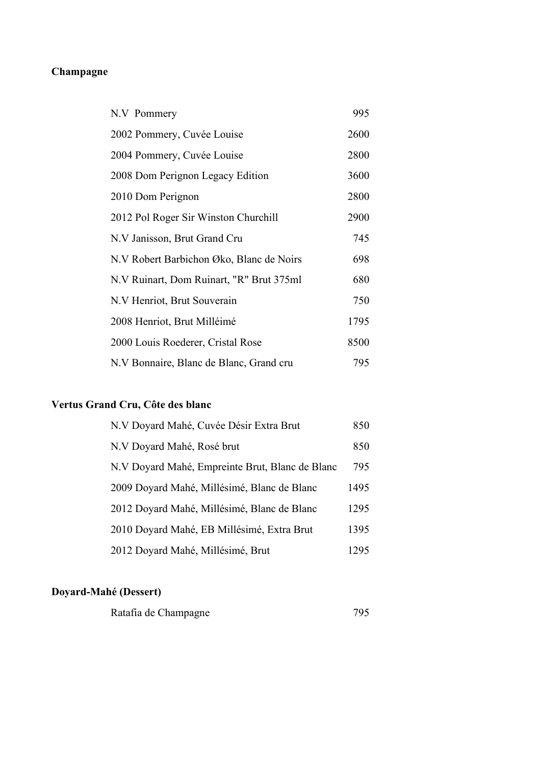# **Champagne**

| N.V Pommery                              | 995  |
|------------------------------------------|------|
| 2002 Pommery, Cuvée Louise               | 2600 |
| 2004 Pommery, Cuvée Louise               | 2800 |
| 2008 Dom Perignon Legacy Edition         | 3600 |
| 2010 Dom Perignon                        | 2800 |
| 2012 Pol Roger Sir Winston Churchill     | 2900 |
| N.V Janisson, Brut Grand Cru             | 745  |
| N.V Robert Barbichon Øko, Blanc de Noirs | 698  |
| N.V Ruinart, Dom Ruinart, "R" Brut 375ml | 680  |
| N.V Henriot, Brut Souverain              | 750  |
| 2008 Henriot, Brut Milléimé              | 1795 |
| 2000 Louis Roederer, Cristal Rose        | 8500 |
| N.V Bonnaire, Blanc de Blanc, Grand cru  | 795  |
|                                          |      |

# **Vertus Grand Cru, Côte des blanc**

| N.V Doyard Mahé, Cuvée Désir Extra Brut         | 850  |
|-------------------------------------------------|------|
| N.V Doyard Mahé, Rosé brut                      | 850  |
| N.V Doyard Mahé, Empreinte Brut, Blanc de Blanc | 795  |
| 2009 Doyard Mahé, Millésimé, Blanc de Blanc     | 1495 |
| 2012 Doyard Mahé, Millésimé, Blanc de Blanc     | 1295 |
| 2010 Doyard Mahé, EB Millésimé, Extra Brut      | 1395 |
| 2012 Doyard Mahé, Millésimé, Brut               | 1295 |

## **Doyard-Mahé (Dessert)**

| Ratafia de Champagne |  |
|----------------------|--|
|----------------------|--|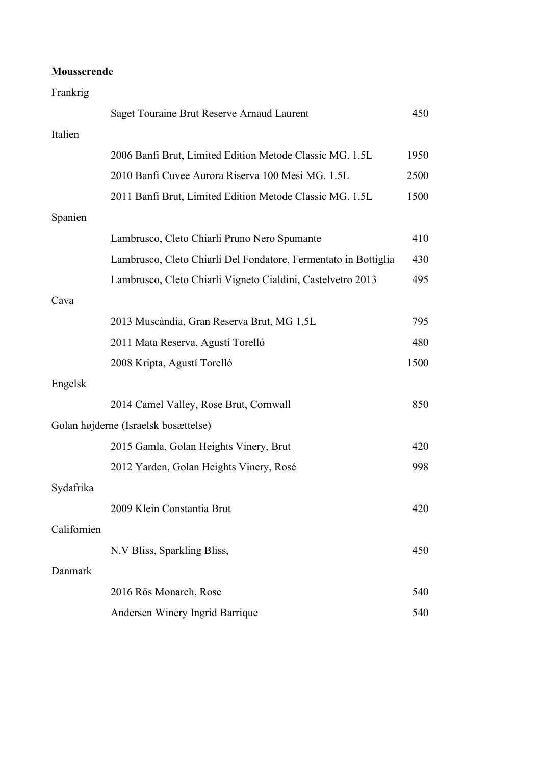#### **Mousserende**

| Frankrig    |                                                                 |      |
|-------------|-----------------------------------------------------------------|------|
|             | Saget Touraine Brut Reserve Arnaud Laurent                      | 450  |
| Italien     |                                                                 |      |
|             | 2006 Banfi Brut, Limited Edition Metode Classic MG. 1.5L        | 1950 |
|             | 2010 Banfi Cuvee Aurora Riserva 100 Mesi MG. 1.5L               | 2500 |
|             | 2011 Banfi Brut, Limited Edition Metode Classic MG. 1.5L        | 1500 |
| Spanien     |                                                                 |      |
|             | Lambrusco, Cleto Chiarli Pruno Nero Spumante                    | 410  |
|             | Lambrusco, Cleto Chiarli Del Fondatore, Fermentato in Bottiglia | 430  |
|             | Lambrusco, Cleto Chiarli Vigneto Cialdini, Castelvetro 2013     | 495  |
| Cava        |                                                                 |      |
|             | 2013 Muscàndia, Gran Reserva Brut, MG 1,5L                      | 795  |
|             | 2011 Mata Reserva, Agustí Torelló                               | 480  |
|             | 2008 Kripta, Agustí Torelló                                     | 1500 |
| Engelsk     |                                                                 |      |
|             | 2014 Camel Valley, Rose Brut, Cornwall                          | 850  |
|             | Golan højderne (Israelsk bosættelse)                            |      |
|             | 2015 Gamla, Golan Heights Vinery, Brut                          | 420  |
|             | 2012 Yarden, Golan Heights Vinery, Rosé                         | 998  |
| Sydafrika   |                                                                 |      |
|             | 2009 Klein Constantia Brut                                      | 420  |
| Californien |                                                                 |      |
|             | N.V Bliss, Sparkling Bliss,                                     | 450  |
| Danmark     |                                                                 |      |
|             | 2016 Rös Monarch, Rose                                          | 540  |
|             | Andersen Winery Ingrid Barrique                                 | 540  |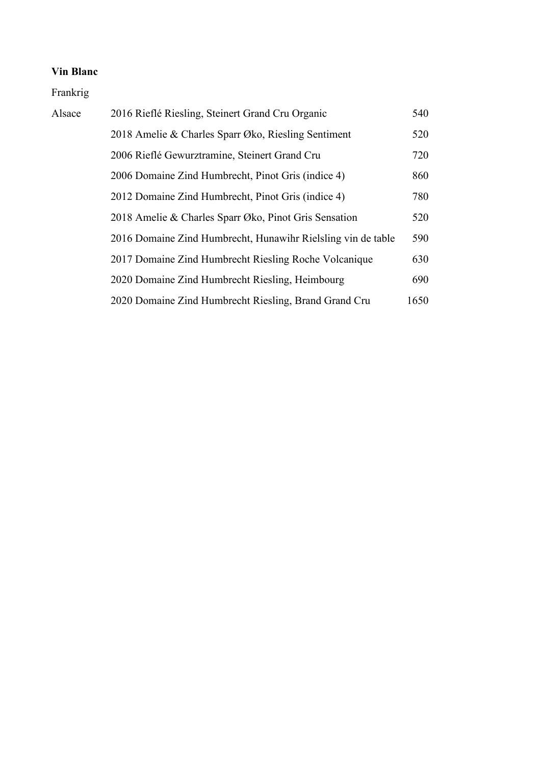Frankrig

| Alsace | 2016 Rieflé Riesling, Steinert Grand Cru Organic             | 540  |
|--------|--------------------------------------------------------------|------|
|        | 2018 Amelie & Charles Sparr Øko, Riesling Sentiment          | 520  |
|        | 2006 Rieflé Gewurztramine, Steinert Grand Cru                | 720  |
|        | 2006 Domaine Zind Humbrecht, Pinot Gris (indice 4)           | 860  |
|        | 2012 Domaine Zind Humbrecht, Pinot Gris (indice 4)           | 780  |
|        | 2018 Amelie & Charles Sparr Øko, Pinot Gris Sensation        | 520  |
|        | 2016 Domaine Zind Humbrecht, Hunawihr Rielsling vin de table | 590  |
|        | 2017 Domaine Zind Humbrecht Riesling Roche Volcanique        | 630  |
|        | 2020 Domaine Zind Humbrecht Riesling, Heimbourg              | 690  |
|        | 2020 Domaine Zind Humbrecht Riesling, Brand Grand Cru        | 1650 |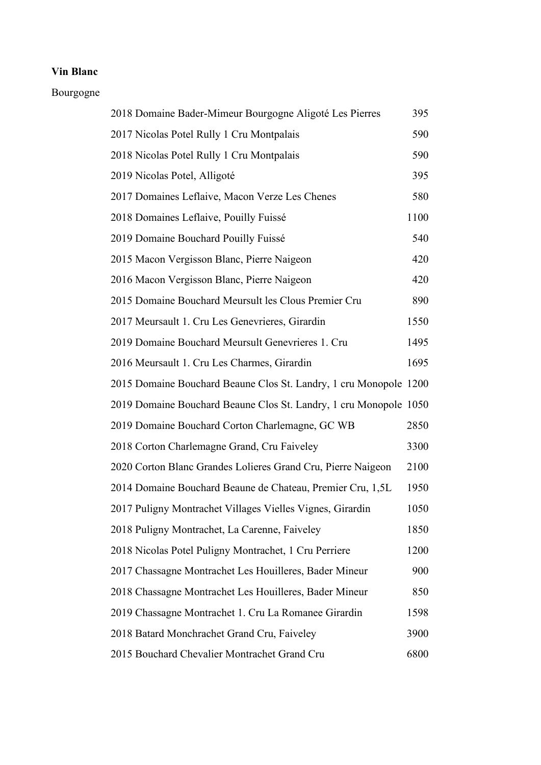#### Bourgogne

| 2018 Domaine Bader-Mimeur Bourgogne Aligoté Les Pierres           | 395  |
|-------------------------------------------------------------------|------|
| 2017 Nicolas Potel Rully 1 Cru Montpalais                         | 590  |
| 2018 Nicolas Potel Rully 1 Cru Montpalais                         | 590  |
| 2019 Nicolas Potel, Alligoté                                      | 395  |
| 2017 Domaines Leflaive, Macon Verze Les Chenes                    | 580  |
| 2018 Domaines Leflaive, Pouilly Fuissé                            | 1100 |
| 2019 Domaine Bouchard Pouilly Fuissé                              | 540  |
| 2015 Macon Vergisson Blanc, Pierre Naigeon                        | 420  |
| 2016 Macon Vergisson Blanc, Pierre Naigeon                        | 420  |
| 2015 Domaine Bouchard Meursult les Clous Premier Cru              | 890  |
| 2017 Meursault 1. Cru Les Genevrieres, Girardin                   | 1550 |
| 2019 Domaine Bouchard Meursult Genevrieres 1. Cru                 | 1495 |
| 2016 Meursault 1. Cru Les Charmes, Girardin                       | 1695 |
| 2015 Domaine Bouchard Beaune Clos St. Landry, 1 cru Monopole 1200 |      |
| 2019 Domaine Bouchard Beaune Clos St. Landry, 1 cru Monopole 1050 |      |
| 2019 Domaine Bouchard Corton Charlemagne, GC WB                   | 2850 |
| 2018 Corton Charlemagne Grand, Cru Faiveley                       | 3300 |
| 2020 Corton Blanc Grandes Lolieres Grand Cru, Pierre Naigeon      | 2100 |
| 2014 Domaine Bouchard Beaune de Chateau, Premier Cru, 1,5L        | 1950 |
| 2017 Puligny Montrachet Villages Vielles Vignes, Girardin         | 1050 |
| 2018 Puligny Montrachet, La Carenne, Faiveley                     | 1850 |
| 2018 Nicolas Potel Puligny Montrachet, 1 Cru Perriere             | 1200 |
| 2017 Chassagne Montrachet Les Houilleres, Bader Mineur            | 900  |
| 2018 Chassagne Montrachet Les Houilleres, Bader Mineur            | 850  |
| 2019 Chassagne Montrachet 1. Cru La Romanee Girardin              | 1598 |
| 2018 Batard Monchrachet Grand Cru, Faiveley                       | 3900 |
| 2015 Bouchard Chevalier Montrachet Grand Cru                      | 6800 |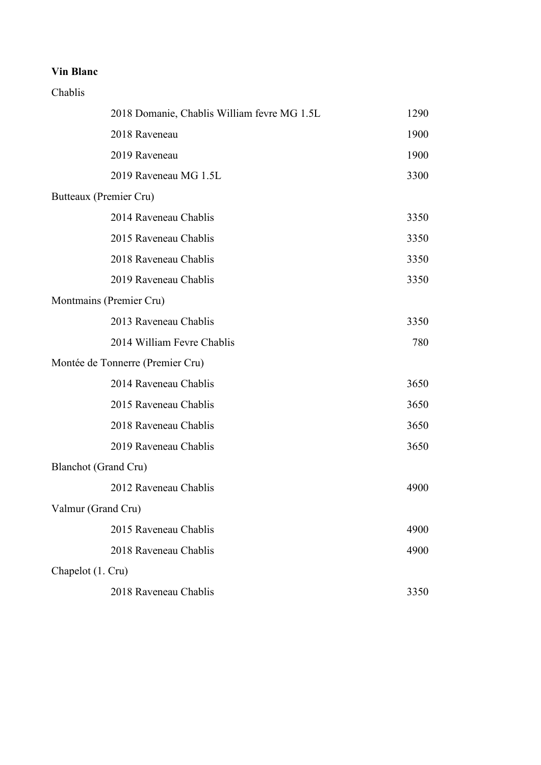Chablis

|                             | 2018 Domanie, Chablis William fevre MG 1.5L | 1290 |
|-----------------------------|---------------------------------------------|------|
|                             | 2018 Raveneau                               | 1900 |
|                             | 2019 Raveneau                               | 1900 |
|                             | 2019 Raveneau MG 1.5L                       | 3300 |
| Butteaux (Premier Cru)      |                                             |      |
|                             | 2014 Raveneau Chablis                       | 3350 |
|                             | 2015 Raveneau Chablis                       | 3350 |
|                             | 2018 Raveneau Chablis                       | 3350 |
|                             | 2019 Raveneau Chablis                       | 3350 |
| Montmains (Premier Cru)     |                                             |      |
|                             | 2013 Raveneau Chablis                       | 3350 |
|                             | 2014 William Fevre Chablis                  | 780  |
|                             | Montée de Tonnerre (Premier Cru)            |      |
|                             | 2014 Raveneau Chablis                       | 3650 |
|                             | 2015 Raveneau Chablis                       | 3650 |
|                             | 2018 Raveneau Chablis                       | 3650 |
|                             | 2019 Raveneau Chablis                       | 3650 |
| <b>Blanchot</b> (Grand Cru) |                                             |      |
|                             | 2012 Raveneau Chablis                       | 4900 |
| Valmur (Grand Cru)          |                                             |      |
|                             | 2015 Raveneau Chablis                       | 4900 |
|                             | 2018 Raveneau Chablis                       | 4900 |
| Chapelot (1. Cru)           |                                             |      |
|                             | 2018 Raveneau Chablis                       | 3350 |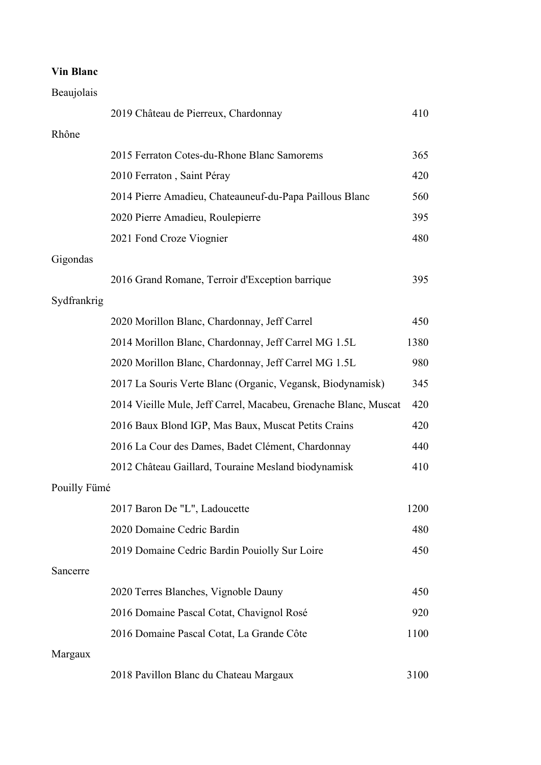Beaujolais

|              | 2019 Château de Pierreux, Chardonnay                            | 410  |
|--------------|-----------------------------------------------------------------|------|
| Rhône        |                                                                 |      |
|              | 2015 Ferraton Cotes-du-Rhone Blanc Samorems                     | 365  |
|              | 2010 Ferraton, Saint Péray                                      | 420  |
|              | 2014 Pierre Amadieu, Chateauneuf-du-Papa Paillous Blanc         | 560  |
|              | 2020 Pierre Amadieu, Roulepierre                                | 395  |
|              | 2021 Fond Croze Viognier                                        | 480  |
| Gigondas     |                                                                 |      |
|              | 2016 Grand Romane, Terroir d'Exception barrique                 | 395  |
| Sydfrankrig  |                                                                 |      |
|              | 2020 Morillon Blanc, Chardonnay, Jeff Carrel                    | 450  |
|              | 2014 Morillon Blanc, Chardonnay, Jeff Carrel MG 1.5L            | 1380 |
|              | 2020 Morillon Blanc, Chardonnay, Jeff Carrel MG 1.5L            | 980  |
|              | 2017 La Souris Verte Blanc (Organic, Vegansk, Biodynamisk)      | 345  |
|              | 2014 Vieille Mule, Jeff Carrel, Macabeu, Grenache Blanc, Muscat | 420  |
|              | 2016 Baux Blond IGP, Mas Baux, Muscat Petits Crains             | 420  |
|              | 2016 La Cour des Dames, Badet Clément, Chardonnay               | 440  |
|              | 2012 Château Gaillard, Touraine Mesland biodynamisk             | 410  |
| Pouilly Fümé |                                                                 |      |
|              | 2017 Baron De "L", Ladoucette                                   | 1200 |
|              | 2020 Domaine Cedric Bardin                                      | 480  |
|              | 2019 Domaine Cedric Bardin Pouiolly Sur Loire                   | 450  |
| Sancerre     |                                                                 |      |
|              | 2020 Terres Blanches, Vignoble Dauny                            | 450  |
|              | 2016 Domaine Pascal Cotat, Chavignol Rosé                       | 920  |
|              | 2016 Domaine Pascal Cotat, La Grande Côte                       | 1100 |
| Margaux      |                                                                 |      |
|              | 2018 Pavillon Blanc du Chateau Margaux                          | 3100 |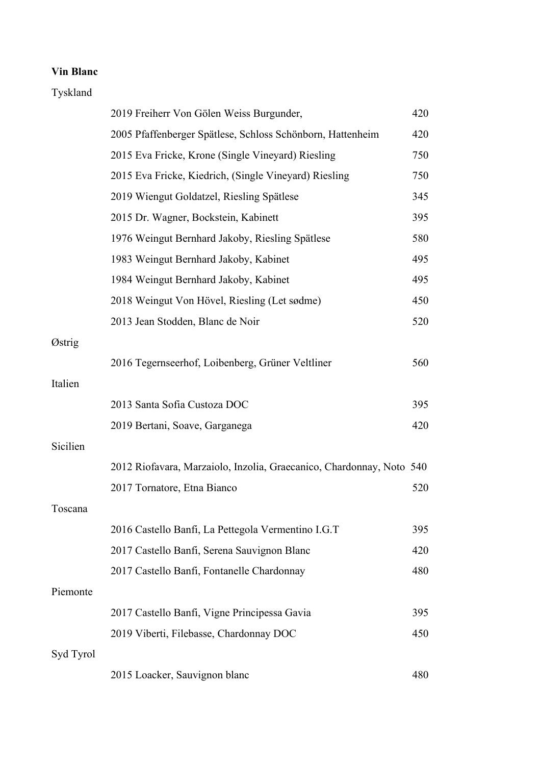## Tyskland

|           | 2019 Freiherr Von Gölen Weiss Burgunder,                             | 420 |
|-----------|----------------------------------------------------------------------|-----|
|           | 2005 Pfaffenberger Spätlese, Schloss Schönborn, Hattenheim           | 420 |
|           | 2015 Eva Fricke, Krone (Single Vineyard) Riesling                    | 750 |
|           | 2015 Eva Fricke, Kiedrich, (Single Vineyard) Riesling                | 750 |
|           | 2019 Wiengut Goldatzel, Riesling Spätlese                            | 345 |
|           | 2015 Dr. Wagner, Bockstein, Kabinett                                 | 395 |
|           | 1976 Weingut Bernhard Jakoby, Riesling Spätlese                      | 580 |
|           | 1983 Weingut Bernhard Jakoby, Kabinet                                | 495 |
|           | 1984 Weingut Bernhard Jakoby, Kabinet                                | 495 |
|           | 2018 Weingut Von Hövel, Riesling (Let sødme)                         | 450 |
|           | 2013 Jean Stodden, Blanc de Noir                                     | 520 |
| Østrig    |                                                                      |     |
|           | 2016 Tegernseerhof, Loibenberg, Grüner Veltliner                     | 560 |
| Italien   |                                                                      |     |
|           | 2013 Santa Sofia Custoza DOC                                         | 395 |
|           | 2019 Bertani, Soave, Garganega                                       | 420 |
| Sicilien  |                                                                      |     |
|           | 2012 Riofavara, Marzaiolo, Inzolia, Graecanico, Chardonnay, Noto 540 |     |
|           | 2017 Tornatore, Etna Bianco                                          | 520 |
| Toscana   |                                                                      |     |
|           | 2016 Castello Banfi, La Pettegola Vermentino I.G.T                   | 395 |
|           | 2017 Castello Banfi, Serena Sauvignon Blanc                          | 420 |
|           | 2017 Castello Banfi, Fontanelle Chardonnay                           | 480 |
| Piemonte  |                                                                      |     |
|           | 2017 Castello Banfi, Vigne Principessa Gavia                         | 395 |
|           | 2019 Viberti, Filebasse, Chardonnay DOC                              | 450 |
| Syd Tyrol |                                                                      |     |
|           | 2015 Loacker, Sauvignon blanc                                        | 480 |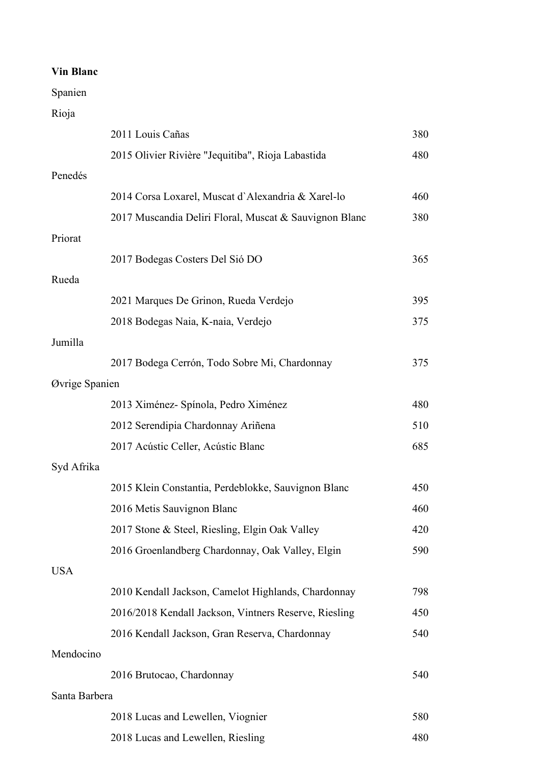Spanien

Rioja

|                | 2011 Louis Cañas                                       | 380 |
|----------------|--------------------------------------------------------|-----|
|                | 2015 Olivier Rivière "Jequitiba", Rioja Labastida      | 480 |
| Penedés        |                                                        |     |
|                | 2014 Corsa Loxarel, Muscat d'Alexandria & Xarel-lo     | 460 |
|                | 2017 Muscandia Deliri Floral, Muscat & Sauvignon Blanc | 380 |
| Priorat        |                                                        |     |
|                | 2017 Bodegas Costers Del Sió DO                        | 365 |
| Rueda          |                                                        |     |
|                | 2021 Marques De Grinon, Rueda Verdejo                  | 395 |
|                | 2018 Bodegas Naia, K-naia, Verdejo                     | 375 |
| Jumilla        |                                                        |     |
|                | 2017 Bodega Cerrón, Todo Sobre Mi, Chardonnay          | 375 |
| Øvrige Spanien |                                                        |     |
|                | 2013 Ximénez- Spínola, Pedro Ximénez                   | 480 |
|                | 2012 Serendipia Chardonnay Ariñena                     | 510 |
|                | 2017 Acústic Celler, Acústic Blanc                     | 685 |
| Syd Afrika     |                                                        |     |
|                | 2015 Klein Constantia, Perdeblokke, Sauvignon Blanc    | 450 |
|                | 2016 Metis Sauvignon Blanc                             | 460 |
|                | 2017 Stone & Steel, Riesling, Elgin Oak Valley         | 420 |
|                | 2016 Groenlandberg Chardonnay, Oak Valley, Elgin       | 590 |
| <b>USA</b>     |                                                        |     |
|                | 2010 Kendall Jackson, Camelot Highlands, Chardonnay    | 798 |
|                | 2016/2018 Kendall Jackson, Vintners Reserve, Riesling  | 450 |
|                | 2016 Kendall Jackson, Gran Reserva, Chardonnay         | 540 |
| Mendocino      |                                                        |     |
|                | 2016 Brutocao, Chardonnay                              | 540 |
| Santa Barbera  |                                                        |     |
|                | 2018 Lucas and Lewellen, Viognier                      | 580 |
|                | 2018 Lucas and Lewellen, Riesling                      | 480 |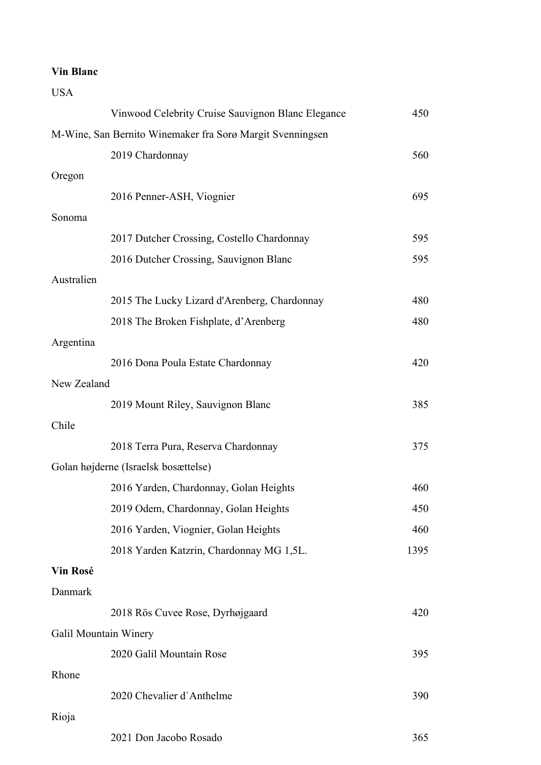| <b>USA</b>  |                                                           |      |
|-------------|-----------------------------------------------------------|------|
|             | Vinwood Celebrity Cruise Sauvignon Blanc Elegance         | 450  |
|             | M-Wine, San Bernito Winemaker fra Sorø Margit Svenningsen |      |
|             | 2019 Chardonnay                                           | 560  |
| Oregon      |                                                           |      |
|             | 2016 Penner-ASH, Viognier                                 | 695  |
| Sonoma      |                                                           |      |
|             | 2017 Dutcher Crossing, Costello Chardonnay                | 595  |
|             | 2016 Dutcher Crossing, Sauvignon Blanc                    | 595  |
| Australien  |                                                           |      |
|             | 2015 The Lucky Lizard d'Arenberg, Chardonnay              | 480  |
|             | 2018 The Broken Fishplate, d'Arenberg                     | 480  |
| Argentina   |                                                           |      |
|             | 2016 Dona Poula Estate Chardonnay                         | 420  |
| New Zealand |                                                           |      |
|             | 2019 Mount Riley, Sauvignon Blanc                         | 385  |
| Chile       |                                                           |      |
|             | 2018 Terra Pura, Reserva Chardonnay                       | 375  |
|             | Golan højderne (Israelsk bosættelse)                      |      |
|             | 2016 Yarden, Chardonnay, Golan Heights                    | 460  |
|             | 2019 Odem, Chardonnay, Golan Heights                      | 450  |
|             | 2016 Yarden, Viognier, Golan Heights                      | 460  |
|             | 2018 Yarden Katzrin, Chardonnay MG 1,5L.                  | 1395 |
| Vin Rosé    |                                                           |      |
| Danmark     |                                                           |      |
|             | 2018 Rös Cuvee Rose, Dyrhøjgaard                          | 420  |
|             | Galil Mountain Winery                                     |      |
|             | 2020 Galil Mountain Rose                                  | 395  |
| Rhone       |                                                           |      |
|             | 2020 Chevalier d'Anthelme                                 | 390  |
| Rioja       |                                                           |      |
|             | 2021 Don Jacobo Rosado                                    | 365  |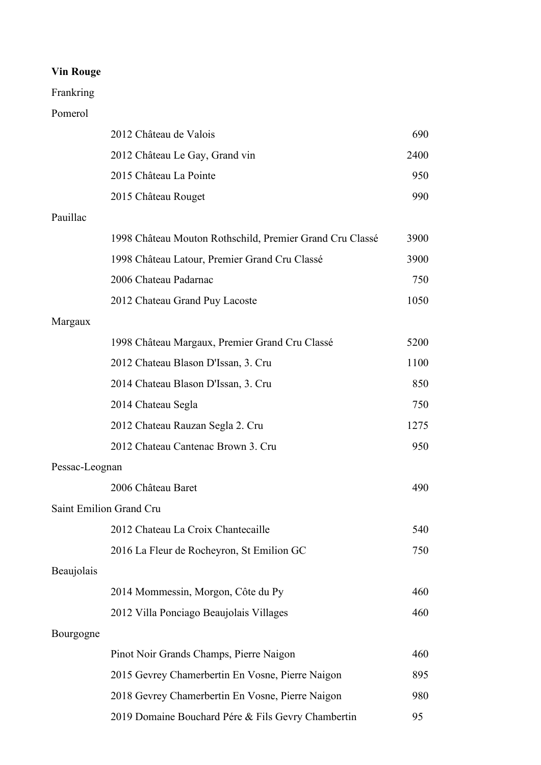## Frankring

### Pomerol

|                | 2012 Château de Valois                                   | 690  |
|----------------|----------------------------------------------------------|------|
|                | 2012 Château Le Gay, Grand vin                           | 2400 |
|                | 2015 Château La Pointe                                   | 950  |
|                | 2015 Château Rouget                                      | 990  |
| Pauillac       |                                                          |      |
|                | 1998 Château Mouton Rothschild, Premier Grand Cru Classé | 3900 |
|                | 1998 Château Latour, Premier Grand Cru Classé            | 3900 |
|                | 2006 Chateau Padarnac                                    | 750  |
|                | 2012 Chateau Grand Puy Lacoste                           | 1050 |
| Margaux        |                                                          |      |
|                | 1998 Château Margaux, Premier Grand Cru Classé           | 5200 |
|                | 2012 Chateau Blason D'Issan, 3. Cru                      | 1100 |
|                | 2014 Chateau Blason D'Issan, 3. Cru                      | 850  |
|                | 2014 Chateau Segla                                       | 750  |
|                | 2012 Chateau Rauzan Segla 2. Cru                         | 1275 |
|                | 2012 Chateau Cantenac Brown 3. Cru                       | 950  |
| Pessac-Leognan |                                                          |      |
|                | 2006 Château Baret                                       | 490  |
|                | Saint Emilion Grand Cru                                  |      |
|                | 2012 Chateau La Croix Chantecaille                       | 540  |
|                | 2016 La Fleur de Rocheyron, St Emilion GC                | 750  |
| Beaujolais     |                                                          |      |
|                | 2014 Mommessin, Morgon, Côte du Py                       | 460  |
|                | 2012 Villa Ponciago Beaujolais Villages                  | 460  |
| Bourgogne      |                                                          |      |
|                | Pinot Noir Grands Champs, Pierre Naigon                  | 460  |
|                | 2015 Gevrey Chamerbertin En Vosne, Pierre Naigon         | 895  |
|                | 2018 Gevrey Chamerbertin En Vosne, Pierre Naigon         | 980  |
|                | 2019 Domaine Bouchard Pére & Fils Gevry Chambertin       | 95   |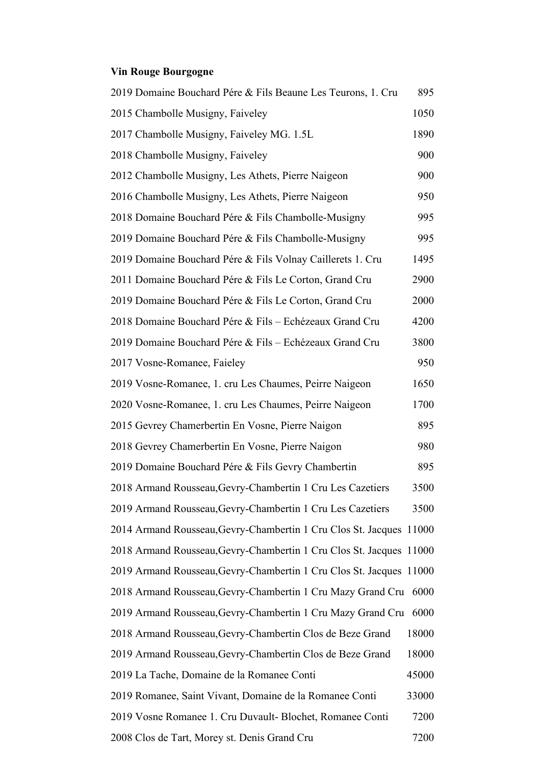## **Vin Rouge Bourgogne**

| 2019 Domaine Bouchard Pére & Fils Beaune Les Teurons, 1. Cru        | 895   |
|---------------------------------------------------------------------|-------|
| 2015 Chambolle Musigny, Faiveley                                    | 1050  |
| 2017 Chambolle Musigny, Faiveley MG. 1.5L                           | 1890  |
| 2018 Chambolle Musigny, Faiveley                                    | 900   |
| 2012 Chambolle Musigny, Les Athets, Pierre Naigeon                  | 900   |
| 2016 Chambolle Musigny, Les Athets, Pierre Naigeon                  | 950   |
| 2018 Domaine Bouchard Pére & Fils Chambolle-Musigny                 | 995   |
| 2019 Domaine Bouchard Pére & Fils Chambolle-Musigny                 | 995   |
| 2019 Domaine Bouchard Pére & Fils Volnay Caillerets 1. Cru          | 1495  |
| 2011 Domaine Bouchard Pére & Fils Le Corton, Grand Cru              | 2900  |
| 2019 Domaine Bouchard Pére & Fils Le Corton, Grand Cru              | 2000  |
| 2018 Domaine Bouchard Pére & Fils - Echézeaux Grand Cru             | 4200  |
| 2019 Domaine Bouchard Pére & Fils - Echézeaux Grand Cru             | 3800  |
| 2017 Vosne-Romanee, Faieley                                         | 950   |
| 2019 Vosne-Romanee, 1. cru Les Chaumes, Peirre Naigeon              | 1650  |
| 2020 Vosne-Romanee, 1. cru Les Chaumes, Peirre Naigeon              | 1700  |
| 2015 Gevrey Chamerbertin En Vosne, Pierre Naigon                    | 895   |
| 2018 Gevrey Chamerbertin En Vosne, Pierre Naigon                    | 980   |
| 2019 Domaine Bouchard Pére & Fils Gevry Chambertin                  | 895   |
| 2018 Armand Rousseau, Gevry-Chambertin 1 Cru Les Cazetiers          | 3500  |
| 2019 Armand Rousseau, Gevry-Chambertin 1 Cru Les Cazetiers          | 3500  |
| 2014 Armand Rousseau, Gevry-Chambertin 1 Cru Clos St. Jacques 11000 |       |
| 2018 Armand Rousseau, Gevry-Chambertin 1 Cru Clos St. Jacques 11000 |       |
| 2019 Armand Rousseau, Gevry-Chambertin 1 Cru Clos St. Jacques 11000 |       |
| 2018 Armand Rousseau, Gevry-Chambertin 1 Cru Mazy Grand Cru 6000    |       |
| 2019 Armand Rousseau, Gevry-Chambertin 1 Cru Mazy Grand Cru         | 6000  |
| 2018 Armand Rousseau, Gevry-Chambertin Clos de Beze Grand           | 18000 |
| 2019 Armand Rousseau, Gevry-Chambertin Clos de Beze Grand           | 18000 |
| 2019 La Tache, Domaine de la Romanee Conti                          | 45000 |
| 2019 Romanee, Saint Vivant, Domaine de la Romanee Conti             | 33000 |
| 2019 Vosne Romanee 1. Cru Duvault- Blochet, Romanee Conti           | 7200  |
| 2008 Clos de Tart, Morey st. Denis Grand Cru                        | 7200  |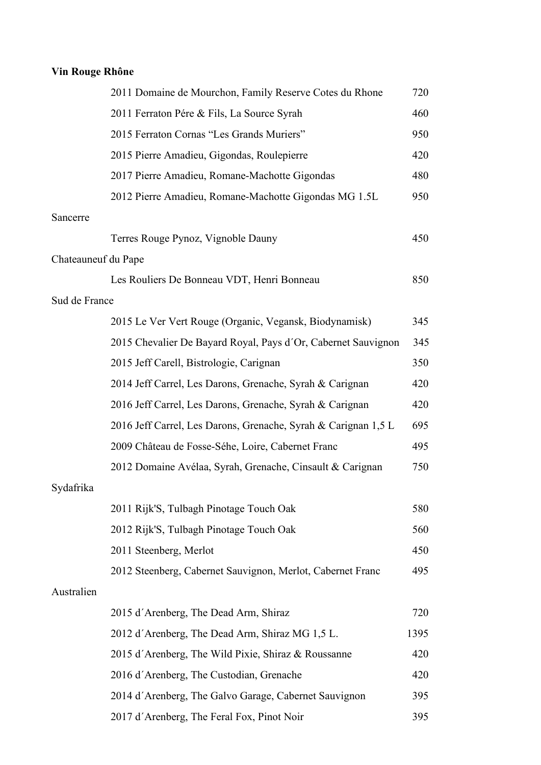# **Vin Rouge Rhône**

|                     | 2011 Domaine de Mourchon, Family Reserve Cotes du Rhone        | 720  |
|---------------------|----------------------------------------------------------------|------|
|                     | 2011 Ferraton Pére & Fils, La Source Syrah                     | 460  |
|                     | 2015 Ferraton Cornas "Les Grands Muriers"                      | 950  |
|                     | 2015 Pierre Amadieu, Gigondas, Roulepierre                     | 420  |
|                     | 2017 Pierre Amadieu, Romane-Machotte Gigondas                  | 480  |
|                     | 2012 Pierre Amadieu, Romane-Machotte Gigondas MG 1.5L          | 950  |
| Sancerre            |                                                                |      |
|                     | Terres Rouge Pynoz, Vignoble Dauny                             | 450  |
| Chateauneuf du Pape |                                                                |      |
|                     | Les Rouliers De Bonneau VDT, Henri Bonneau                     | 850  |
| Sud de France       |                                                                |      |
|                     | 2015 Le Ver Vert Rouge (Organic, Vegansk, Biodynamisk)         | 345  |
|                     | 2015 Chevalier De Bayard Royal, Pays d'Or, Cabernet Sauvignon  | 345  |
|                     | 2015 Jeff Carell, Bistrologie, Carignan                        | 350  |
|                     | 2014 Jeff Carrel, Les Darons, Grenache, Syrah & Carignan       | 420  |
|                     | 2016 Jeff Carrel, Les Darons, Grenache, Syrah & Carignan       | 420  |
|                     | 2016 Jeff Carrel, Les Darons, Grenache, Syrah & Carignan 1,5 L | 695  |
|                     | 2009 Château de Fosse-Séhe, Loire, Cabernet Franc              | 495  |
|                     | 2012 Domaine Avélaa, Syrah, Grenache, Cinsault & Carignan      | 750  |
| Sydafrika           |                                                                |      |
|                     | 2011 Rijk'S, Tulbagh Pinotage Touch Oak                        | 580  |
|                     | 2012 Rijk'S, Tulbagh Pinotage Touch Oak                        | 560  |
|                     | 2011 Steenberg, Merlot                                         | 450  |
|                     | 2012 Steenberg, Cabernet Sauvignon, Merlot, Cabernet Franc     | 495  |
| Australien          |                                                                |      |
|                     | 2015 d'Arenberg, The Dead Arm, Shiraz                          | 720  |
|                     | 2012 d'Arenberg, The Dead Arm, Shiraz MG 1,5 L.                | 1395 |
|                     | 2015 d'Arenberg, The Wild Pixie, Shiraz & Roussanne            | 420  |
|                     | 2016 d'Arenberg, The Custodian, Grenache                       | 420  |
|                     | 2014 d'Arenberg, The Galvo Garage, Cabernet Sauvignon          | 395  |
|                     | 2017 d'Arenberg, The Feral Fox, Pinot Noir                     | 395  |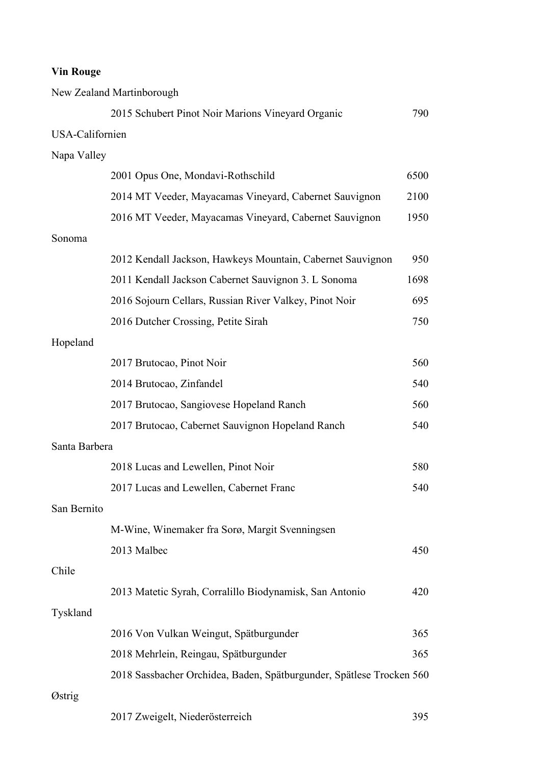|                 | New Zealand Martinborough                                            |      |
|-----------------|----------------------------------------------------------------------|------|
|                 | 2015 Schubert Pinot Noir Marions Vineyard Organic                    | 790  |
| USA-Californien |                                                                      |      |
| Napa Valley     |                                                                      |      |
|                 | 2001 Opus One, Mondavi-Rothschild                                    | 6500 |
|                 | 2014 MT Veeder, Mayacamas Vineyard, Cabernet Sauvignon               | 2100 |
|                 | 2016 MT Veeder, Mayacamas Vineyard, Cabernet Sauvignon               | 1950 |
| Sonoma          |                                                                      |      |
|                 | 2012 Kendall Jackson, Hawkeys Mountain, Cabernet Sauvignon           | 950  |
|                 | 2011 Kendall Jackson Cabernet Sauvignon 3. L Sonoma                  | 1698 |
|                 | 2016 Sojourn Cellars, Russian River Valkey, Pinot Noir               | 695  |
|                 | 2016 Dutcher Crossing, Petite Sirah                                  | 750  |
| Hopeland        |                                                                      |      |
|                 | 2017 Brutocao, Pinot Noir                                            | 560  |
|                 | 2014 Brutocao, Zinfandel                                             | 540  |
|                 | 2017 Brutocao, Sangiovese Hopeland Ranch                             | 560  |
|                 | 2017 Brutocao, Cabernet Sauvignon Hopeland Ranch                     | 540  |
| Santa Barbera   |                                                                      |      |
|                 | 2018 Lucas and Lewellen, Pinot Noir                                  | 580  |
|                 | 2017 Lucas and Lewellen, Cabernet Franc                              | 540  |
| San Bernito     |                                                                      |      |
|                 | M-Wine, Winemaker fra Sorø, Margit Svenningsen                       |      |
|                 | 2013 Malbec                                                          | 450  |
| Chile           |                                                                      |      |
|                 | 2013 Matetic Syrah, Corralillo Biodynamisk, San Antonio              | 420  |
| Tyskland        |                                                                      |      |
|                 | 2016 Von Vulkan Weingut, Spätburgunder                               | 365  |
|                 | 2018 Mehrlein, Reingau, Spätburgunder                                | 365  |
|                 | 2018 Sassbacher Orchidea, Baden, Spätburgunder, Spätlese Trocken 560 |      |
| Østrig          |                                                                      |      |
|                 | 2017 Zweigelt, Niederösterreich                                      | 395  |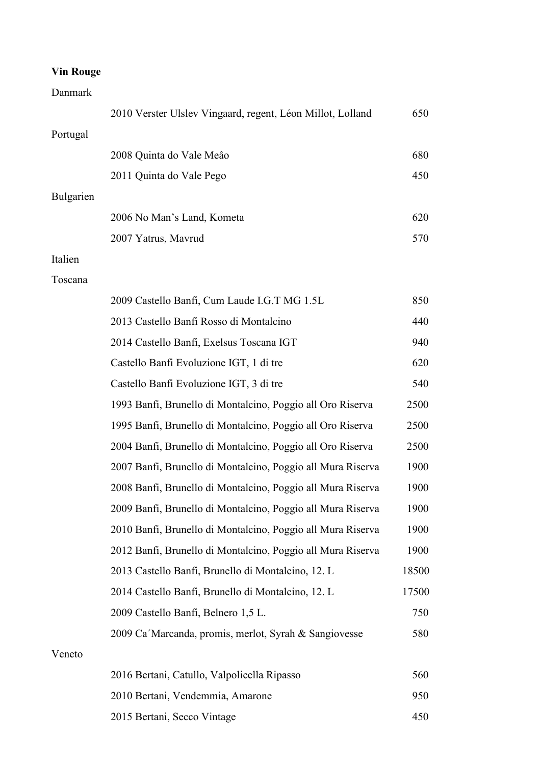### Danmark

|           | 2010 Verster Ulslev Vingaard, regent, Léon Millot, Lolland  | 650   |
|-----------|-------------------------------------------------------------|-------|
| Portugal  |                                                             |       |
|           | 2008 Quinta do Vale Meâo                                    | 680   |
|           | 2011 Quinta do Vale Pego                                    | 450   |
| Bulgarien |                                                             |       |
|           | 2006 No Man's Land, Kometa                                  | 620   |
|           | 2007 Yatrus, Mavrud                                         | 570   |
| Italien   |                                                             |       |
| Toscana   |                                                             |       |
|           | 2009 Castello Banfi, Cum Laude I.G.T MG 1.5L                | 850   |
|           | 2013 Castello Banfi Rosso di Montalcino                     | 440   |
|           | 2014 Castello Banfi, Exelsus Toscana IGT                    | 940   |
|           | Castello Banfi Evoluzione IGT, 1 di tre                     | 620   |
|           | Castello Banfi Evoluzione IGT, 3 di tre                     | 540   |
|           | 1993 Banfi, Brunello di Montalcino, Poggio all Oro Riserva  | 2500  |
|           | 1995 Banfi, Brunello di Montalcino, Poggio all Oro Riserva  | 2500  |
|           | 2004 Banfi, Brunello di Montalcino, Poggio all Oro Riserva  | 2500  |
|           | 2007 Banfi, Brunello di Montalcino, Poggio all Mura Riserva | 1900  |
|           | 2008 Banfi, Brunello di Montalcino, Poggio all Mura Riserva | 1900  |
|           | 2009 Banfi, Brunello di Montalcino, Poggio all Mura Riserva | 1900  |
|           | 2010 Banfi, Brunello di Montalcino, Poggio all Mura Riserva | 1900  |
|           | 2012 Banfi, Brunello di Montalcino, Poggio all Mura Riserva | 1900  |
|           | 2013 Castello Banfi, Brunello di Montalcino, 12. L          | 18500 |
|           | 2014 Castello Banfi, Brunello di Montalcino, 12. L          | 17500 |
|           | 2009 Castello Banfi, Belnero 1,5 L.                         | 750   |
|           | 2009 Ca'Marcanda, promis, merlot, Syrah & Sangiovesse       | 580   |
| Veneto    |                                                             |       |
|           | 2016 Bertani, Catullo, Valpolicella Ripasso                 | 560   |
|           | 2010 Bertani, Vendemmia, Amarone                            | 950   |
|           | 2015 Bertani, Secco Vintage                                 | 450   |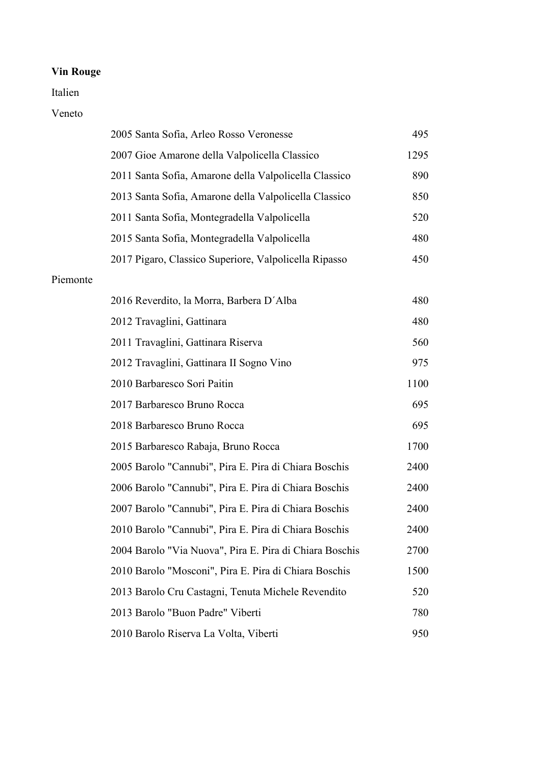### Italien

#### Veneto

|          | 2005 Santa Sofia, Arleo Rosso Veronesse                 | 495  |
|----------|---------------------------------------------------------|------|
|          | 2007 Gioe Amarone della Valpolicella Classico           | 1295 |
|          | 2011 Santa Sofia, Amarone della Valpolicella Classico   | 890  |
|          | 2013 Santa Sofia, Amarone della Valpolicella Classico   | 850  |
|          | 2011 Santa Sofia, Montegradella Valpolicella            | 520  |
|          | 2015 Santa Sofia, Montegradella Valpolicella            | 480  |
|          | 2017 Pigaro, Classico Superiore, Valpolicella Ripasso   | 450  |
| Piemonte |                                                         |      |
|          | 2016 Reverdito, la Morra, Barbera D'Alba                | 480  |
|          | 2012 Travaglini, Gattinara                              | 480  |
|          | 2011 Travaglini, Gattinara Riserva                      | 560  |
|          | 2012 Travaglini, Gattinara II Sogno Vino                | 975  |
|          | 2010 Barbaresco Sori Paitin                             | 1100 |
|          | 2017 Barbaresco Bruno Rocca                             | 695  |
|          | 2018 Barbaresco Bruno Rocca                             | 695  |
|          | 2015 Barbaresco Rabaja, Bruno Rocca                     | 1700 |
|          | 2005 Barolo "Cannubi", Pira E. Pira di Chiara Boschis   | 2400 |
|          | 2006 Barolo "Cannubi", Pira E. Pira di Chiara Boschis   | 2400 |
|          | 2007 Barolo "Cannubi", Pira E. Pira di Chiara Boschis   | 2400 |
|          | 2010 Barolo "Cannubi", Pira E. Pira di Chiara Boschis   | 2400 |
|          | 2004 Barolo "Via Nuova", Pira E. Pira di Chiara Boschis | 2700 |
|          | 2010 Barolo "Mosconi", Pira E. Pira di Chiara Boschis   | 1500 |
|          | 2013 Barolo Cru Castagni, Tenuta Michele Revendito      | 520  |
|          | 2013 Barolo "Buon Padre" Viberti                        | 780  |
|          | 2010 Barolo Riserva La Volta, Viberti                   | 950  |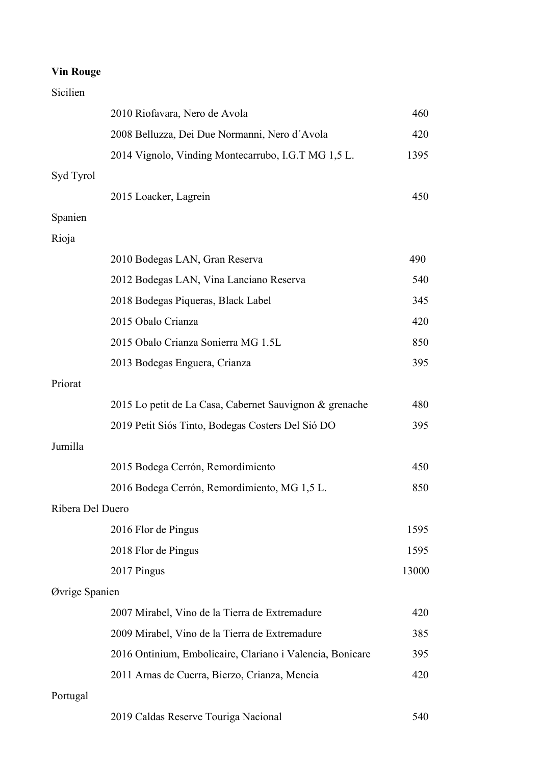### Sicilien

|                  | 2010 Riofavara, Nero de Avola                             | 460   |
|------------------|-----------------------------------------------------------|-------|
|                  | 2008 Belluzza, Dei Due Normanni, Nero d'Avola             | 420   |
|                  | 2014 Vignolo, Vinding Montecarrubo, I.G.T MG 1,5 L.       | 1395  |
| Syd Tyrol        |                                                           |       |
|                  | 2015 Loacker, Lagrein                                     | 450   |
| Spanien          |                                                           |       |
| Rioja            |                                                           |       |
|                  | 2010 Bodegas LAN, Gran Reserva                            | 490   |
|                  | 2012 Bodegas LAN, Vina Lanciano Reserva                   | 540   |
|                  | 2018 Bodegas Piqueras, Black Label                        | 345   |
|                  | 2015 Obalo Crianza                                        | 420   |
|                  | 2015 Obalo Crianza Sonierra MG 1.5L                       | 850   |
|                  | 2013 Bodegas Enguera, Crianza                             | 395   |
| Priorat          |                                                           |       |
|                  | 2015 Lo petit de La Casa, Cabernet Sauvignon & grenache   | 480   |
|                  | 2019 Petit Siós Tinto, Bodegas Costers Del Sió DO         | 395   |
| Jumilla          |                                                           |       |
|                  | 2015 Bodega Cerrón, Remordimiento                         | 450   |
|                  | 2016 Bodega Cerrón, Remordimiento, MG 1,5 L.              | 850   |
| Ribera Del Duero |                                                           |       |
|                  | 2016 Flor de Pingus                                       | 1595  |
|                  | 2018 Flor de Pingus                                       | 1595  |
|                  | 2017 Pingus                                               | 13000 |
| Øvrige Spanien   |                                                           |       |
|                  | 2007 Mirabel, Vino de la Tierra de Extremadure            | 420   |
|                  | 2009 Mirabel, Vino de la Tierra de Extremadure            | 385   |
|                  | 2016 Ontinium, Embolicaire, Clariano i Valencia, Bonicare | 395   |
|                  | 2011 Arnas de Cuerra, Bierzo, Crianza, Mencia             | 420   |
| Portugal         |                                                           |       |
|                  | 2019 Caldas Reserve Touriga Nacional                      | 540   |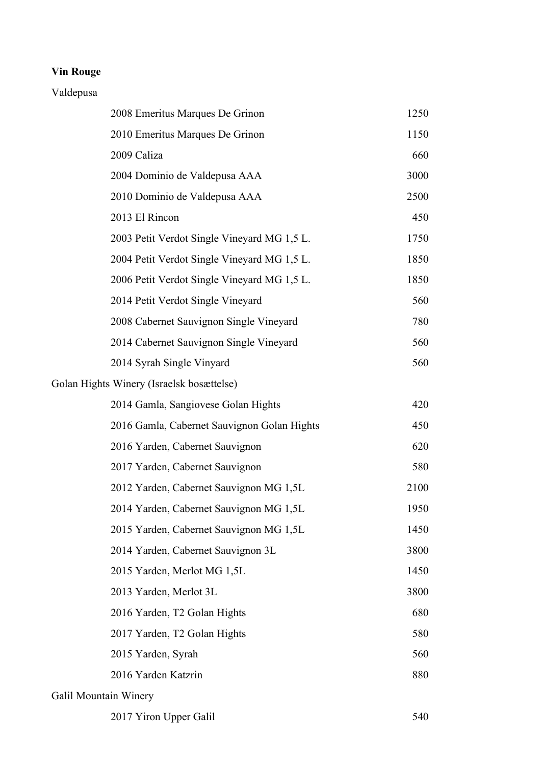#### Valdepusa

| 2008 Emeritus Marques De Grinon             | 1250 |
|---------------------------------------------|------|
| 2010 Emeritus Marques De Grinon             | 1150 |
| 2009 Caliza                                 | 660  |
| 2004 Dominio de Valdepusa AAA               | 3000 |
| 2010 Dominio de Valdepusa AAA               | 2500 |
| 2013 El Rincon                              | 450  |
| 2003 Petit Verdot Single Vineyard MG 1,5 L. | 1750 |
| 2004 Petit Verdot Single Vineyard MG 1,5 L. | 1850 |
| 2006 Petit Verdot Single Vineyard MG 1,5 L. | 1850 |
| 2014 Petit Verdot Single Vineyard           | 560  |
| 2008 Cabernet Sauvignon Single Vineyard     | 780  |
| 2014 Cabernet Sauvignon Single Vineyard     | 560  |
| 2014 Syrah Single Vinyard                   | 560  |
| Golan Hights Winery (Israelsk bosættelse)   |      |
| 2014 Gamla, Sangiovese Golan Hights         | 420  |
| 2016 Gamla, Cabernet Sauvignon Golan Hights | 450  |
| 2016 Yarden, Cabernet Sauvignon             | 620  |
| 2017 Yarden, Cabernet Sauvignon             | 580  |
| 2012 Yarden, Cabernet Sauvignon MG 1,5L     | 2100 |
| 2014 Yarden, Cabernet Sauvignon MG 1,5L     | 1950 |
| 2015 Yarden, Cabernet Sauvignon MG 1,5L     | 1450 |
| 2014 Yarden, Cabernet Sauvignon 3L          | 3800 |
| 2015 Yarden, Merlot MG 1,5L                 | 1450 |
| 2013 Yarden, Merlot 3L                      | 3800 |
| 2016 Yarden, T2 Golan Hights                | 680  |
| 2017 Yarden, T2 Golan Hights                | 580  |
| 2015 Yarden, Syrah                          | 560  |
| 2016 Yarden Katzrin                         | 880  |
| Galil Mountain Winery                       |      |

2017 Yiron Upper Galil 540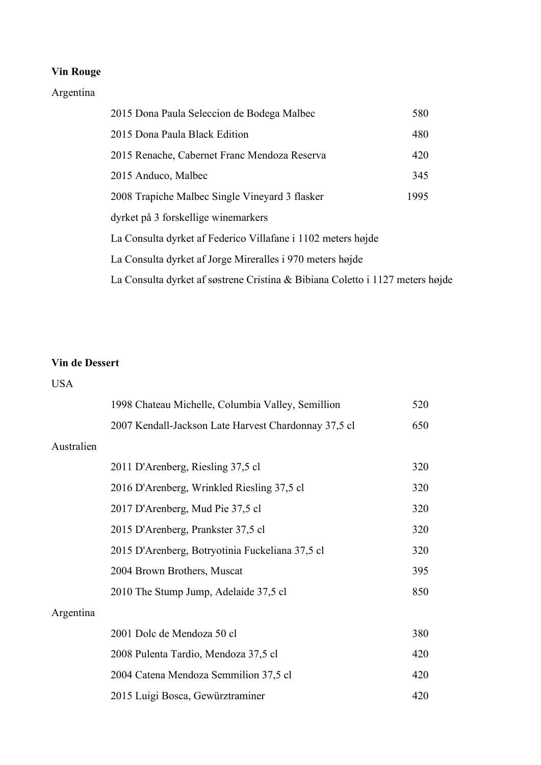## Argentina

| 2015 Dona Paula Seleccion de Bodega Malbec                                    | 580  |  |
|-------------------------------------------------------------------------------|------|--|
| 2015 Dona Paula Black Edition                                                 | 480  |  |
| 2015 Renache, Cabernet Franc Mendoza Reserva                                  | 420  |  |
| 2015 Anduco, Malbec                                                           | 345  |  |
| 2008 Trapiche Malbec Single Vineyard 3 flasker                                | 1995 |  |
| dyrket på 3 forskellige winemarkers                                           |      |  |
| La Consulta dyrket af Federico Villafane i 1102 meters højde                  |      |  |
| La Consulta dyrket af Jorge Mireralles i 970 meters højde                     |      |  |
| La Consulta dyrket af søstrene Cristina & Bibiana Coletto i 1127 meters højde |      |  |

### **Vin de Dessert**

#### USA

|            | 1998 Chateau Michelle, Columbia Valley, Semillion    | 520 |
|------------|------------------------------------------------------|-----|
|            | 2007 Kendall-Jackson Late Harvest Chardonnay 37,5 cl | 650 |
| Australien |                                                      |     |
|            | 2011 D'Arenberg, Riesling 37,5 cl                    | 320 |
|            | 2016 D'Arenberg, Wrinkled Riesling 37,5 cl           | 320 |
|            | 2017 D'Arenberg, Mud Pie 37,5 cl                     | 320 |
|            | 2015 D'Arenberg, Prankster 37,5 cl                   | 320 |
|            | 2015 D'Arenberg, Botryotinia Fuckeliana 37,5 cl      | 320 |
|            | 2004 Brown Brothers, Muscat                          | 395 |
|            | 2010 The Stump Jump, Adelaide 37,5 cl                | 850 |
| Argentina  |                                                      |     |
|            | 2001 Dolc de Mendoza 50 cl                           | 380 |
|            | 2008 Pulenta Tardio, Mendoza 37,5 cl                 | 420 |
|            | 2004 Catena Mendoza Semmilion 37,5 cl                | 420 |
|            | 2015 Luigi Bosca, Gewürztraminer                     | 420 |
|            |                                                      |     |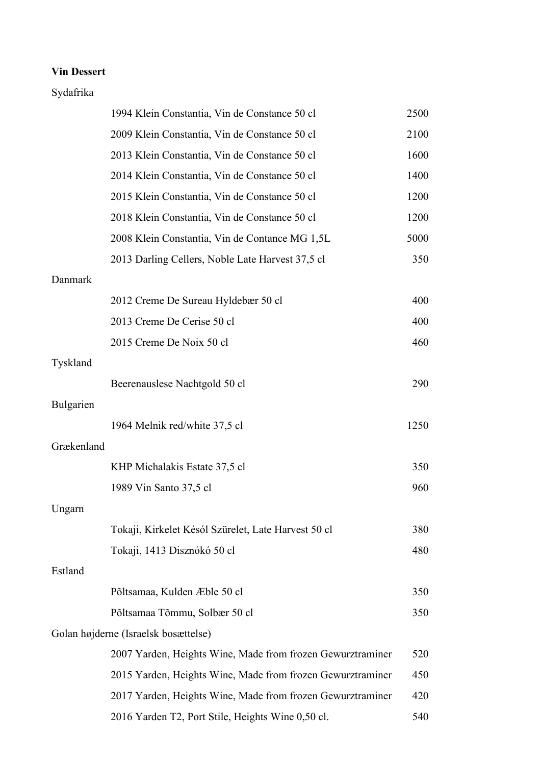### **Vin Dessert**

## Sydafrika

|                  | 1994 Klein Constantia, Vin de Constance 50 cl              | 2500 |
|------------------|------------------------------------------------------------|------|
|                  | 2009 Klein Constantia, Vin de Constance 50 cl              | 2100 |
|                  | 2013 Klein Constantia, Vin de Constance 50 cl              | 1600 |
|                  | 2014 Klein Constantia, Vin de Constance 50 cl              | 1400 |
|                  | 2015 Klein Constantia, Vin de Constance 50 cl              | 1200 |
|                  | 2018 Klein Constantia, Vin de Constance 50 cl              | 1200 |
|                  | 2008 Klein Constantia, Vin de Contance MG 1,5L             | 5000 |
|                  | 2013 Darling Cellers, Noble Late Harvest 37,5 cl           | 350  |
| Danmark          |                                                            |      |
|                  | 2012 Creme De Sureau Hyldebær 50 cl                        | 400  |
|                  | 2013 Creme De Cerise 50 cl                                 | 400  |
|                  | 2015 Creme De Noix 50 cl                                   | 460  |
| Tyskland         |                                                            |      |
|                  | Beerenauslese Nachtgold 50 cl                              | 290  |
| <b>Bulgarien</b> |                                                            |      |
|                  | 1964 Melnik red/white 37,5 cl                              | 1250 |
| Grækenland       |                                                            |      |
|                  | KHP Michalakis Estate 37,5 cl                              | 350  |
|                  | 1989 Vin Santo 37,5 cl                                     | 960  |
| Ungarn           |                                                            |      |
|                  | Tokaji, Kirkelet Késól Szürelet, Late Harvest 50 cl        | 380  |
|                  | Tokaji, 1413 Disznókó 50 cl                                | 480  |
| Estland          |                                                            |      |
|                  | Põltsamaa, Kulden Æble 50 cl                               | 350  |
|                  | Põltsamaa Tõmmu, Solbær 50 cl                              | 350  |
|                  | Golan højderne (Israelsk bosættelse)                       |      |
|                  | 2007 Yarden, Heights Wine, Made from frozen Gewurztraminer | 520  |
|                  | 2015 Yarden, Heights Wine, Made from frozen Gewurztraminer | 450  |
|                  | 2017 Yarden, Heights Wine, Made from frozen Gewurztraminer | 420  |
|                  | 2016 Yarden T2, Port Stile, Heights Wine 0,50 cl.          | 540  |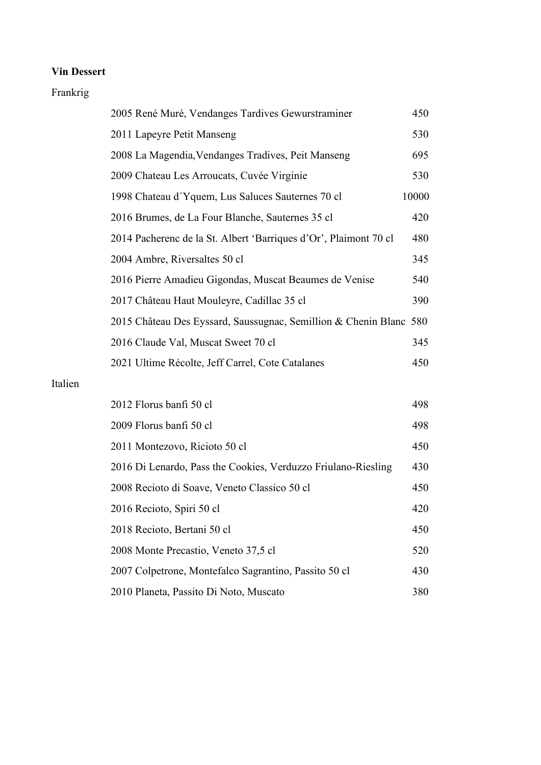### **Vin Dessert**

#### Frankrig

| 2005 René Muré, Vendanges Tardives Gewurstraminer                  | 450   |
|--------------------------------------------------------------------|-------|
| 2011 Lapeyre Petit Manseng                                         | 530   |
| 2008 La Magendia, Vendanges Tradives, Peit Manseng                 | 695   |
| 2009 Chateau Les Arroucats, Cuvée Virginie                         | 530   |
| 1998 Chateau d'Yquem, Lus Saluces Sauternes 70 cl                  | 10000 |
| 2016 Brumes, de La Four Blanche, Sauternes 35 cl                   | 420   |
| 2014 Pacherenc de la St. Albert 'Barriques d'Or', Plaimont 70 cl   | 480   |
| 2004 Ambre, Riversaltes 50 cl                                      | 345   |
| 2016 Pierre Amadieu Gigondas, Muscat Beaumes de Venise             | 540   |
| 2017 Château Haut Mouleyre, Cadillac 35 cl                         | 390   |
| 2015 Château Des Eyssard, Saussugnac, Semillion & Chenin Blanc 580 |       |
| 2016 Claude Val, Muscat Sweet 70 cl                                | 345   |
| 2021 Ultime Récolte, Jeff Carrel, Cote Catalanes                   | 450   |

### Italien

| 2012 Florus banfi 50 cl                                       | 498 |
|---------------------------------------------------------------|-----|
| 2009 Florus banfi 50 cl                                       | 498 |
| 2011 Montezovo, Ricioto 50 cl                                 | 450 |
| 2016 Di Lenardo, Pass the Cookies, Verduzzo Friulano-Riesling | 430 |
| 2008 Recioto di Soave, Veneto Classico 50 cl                  | 450 |
| 2016 Recioto, Spiri 50 cl                                     | 420 |
| 2018 Recioto, Bertani 50 cl                                   | 450 |
| 2008 Monte Precastio, Veneto 37,5 cl                          | 520 |
| 2007 Colpetrone, Montefalco Sagrantino, Passito 50 cl         | 430 |
| 2010 Planeta, Passito Di Noto, Muscato                        | 380 |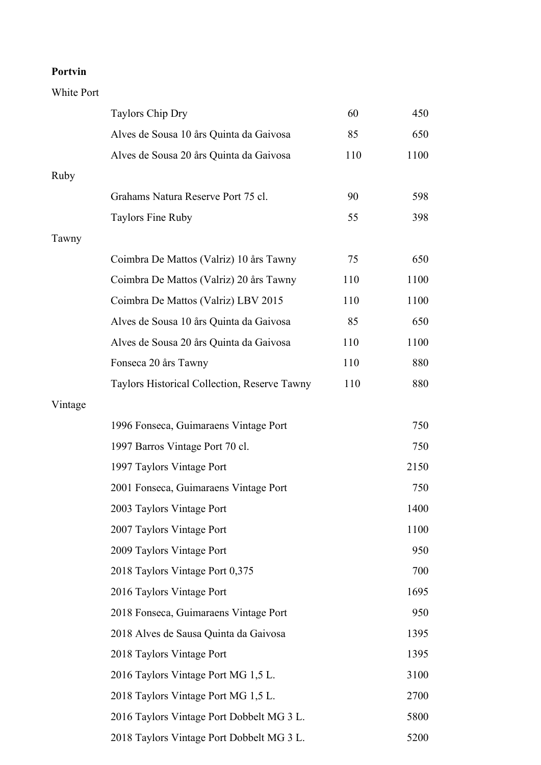### **Portvin**

White Port

|         | Taylors Chip Dry                             | 60  | 450  |
|---------|----------------------------------------------|-----|------|
|         | Alves de Sousa 10 års Quinta da Gaivosa      | 85  | 650  |
|         | Alves de Sousa 20 års Quinta da Gaivosa      | 110 | 1100 |
| Ruby    |                                              |     |      |
|         | Grahams Natura Reserve Port 75 cl.           | 90  | 598  |
|         | <b>Taylors Fine Ruby</b>                     | 55  | 398  |
| Tawny   |                                              |     |      |
|         | Coimbra De Mattos (Valriz) 10 års Tawny      | 75  | 650  |
|         | Coimbra De Mattos (Valriz) 20 års Tawny      | 110 | 1100 |
|         | Coimbra De Mattos (Valriz) LBV 2015          | 110 | 1100 |
|         | Alves de Sousa 10 års Quinta da Gaivosa      | 85  | 650  |
|         | Alves de Sousa 20 års Quinta da Gaivosa      | 110 | 1100 |
|         | Fonseca 20 års Tawny                         | 110 | 880  |
|         | Taylors Historical Collection, Reserve Tawny | 110 | 880  |
| Vintage |                                              |     |      |
|         | 1996 Fonseca, Guimaraens Vintage Port        |     | 750  |
|         | 1997 Barros Vintage Port 70 cl.              |     | 750  |
|         | 1997 Taylors Vintage Port                    |     | 2150 |
|         | 2001 Fonseca, Guimaraens Vintage Port        |     | 750  |
|         | 2003 Taylors Vintage Port                    |     | 1400 |
|         | 2007 Taylors Vintage Port                    |     | 1100 |
|         | 2009 Taylors Vintage Port                    |     | 950  |
|         | 2018 Taylors Vintage Port 0,375              |     | 700  |
|         | 2016 Taylors Vintage Port                    |     | 1695 |
|         | 2018 Fonseca, Guimaraens Vintage Port        |     | 950  |
|         | 2018 Alves de Sausa Quinta da Gaivosa        |     | 1395 |
|         | 2018 Taylors Vintage Port                    |     | 1395 |
|         | 2016 Taylors Vintage Port MG 1,5 L.          |     | 3100 |
|         | 2018 Taylors Vintage Port MG 1,5 L.          |     | 2700 |
|         | 2016 Taylors Vintage Port Dobbelt MG 3 L.    |     | 5800 |
|         | 2018 Taylors Vintage Port Dobbelt MG 3 L.    |     | 5200 |